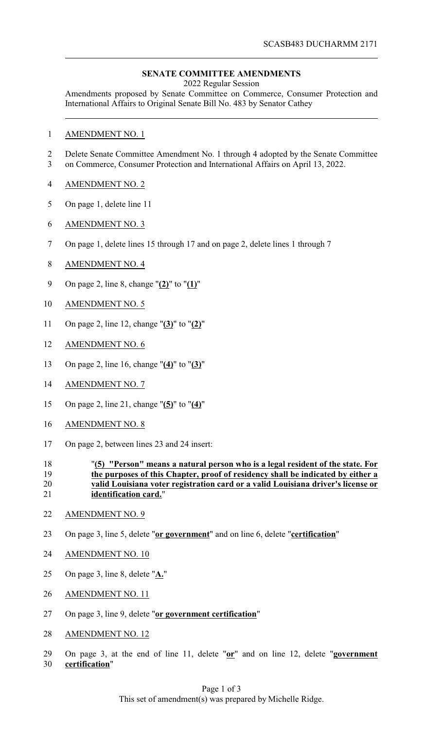## **SENATE COMMITTEE AMENDMENTS**

2022 Regular Session

Amendments proposed by Senate Committee on Commerce, Consumer Protection and International Affairs to Original Senate Bill No. 483 by Senator Cathey

- AMENDMENT NO. 1
- Delete Senate Committee Amendment No. 1 through 4 adopted by the Senate Committee on Commerce, Consumer Protection and International Affairs on April 13, 2022.
- AMENDMENT NO. 2
- On page 1, delete line 11
- AMENDMENT NO. 3
- On page 1, delete lines 15 through 17 and on page 2, delete lines 1 through 7
- AMENDMENT NO. 4
- On page 2, line 8, change "**(2)**" to "**(1)**"
- AMENDMENT NO. 5
- On page 2, line 12, change "**(3)**" to "**(2)**"
- AMENDMENT NO. 6
- On page 2, line 16, change "**(4)**" to "**(3)**"
- AMENDMENT NO. 7
- On page 2, line 21, change "**(5)**" to "**(4)**"
- AMENDMENT NO. 8
- On page 2, between lines 23 and 24 insert:
- "**(5) "Person" means a natural person who is a legal resident of the state. For the purposes of this Chapter, proof of residency shall be indicated by either a valid Louisiana voter registration card or a valid Louisiana driver's license or identification card.**"
- AMENDMENT NO. 9
- On page 3, line 5, delete "**or government**" and on line 6, delete "**certification**"
- AMENDMENT NO. 10
- On page 3, line 8, delete "**A.**"
- AMENDMENT NO. 11
- On page 3, line 9, delete "**or government certification**"
- AMENDMENT NO. 12
- On page 3, at the end of line 11, delete "**or**" and on line 12, delete "**government certification**"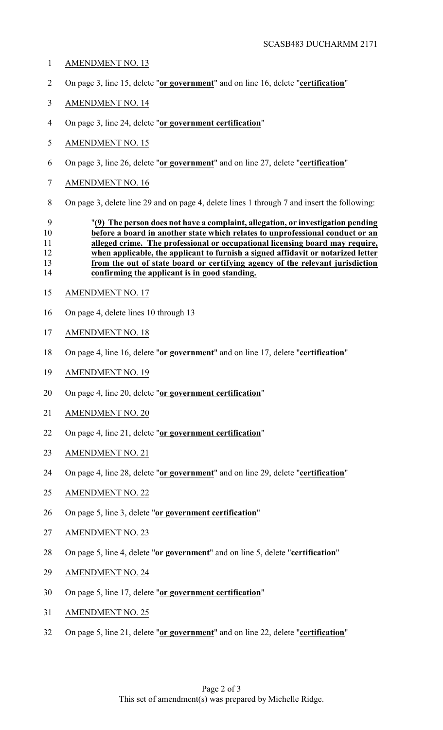- AMENDMENT NO. 13
- On page 3, line 15, delete "**or government**" and on line 16, delete "**certification**"
- AMENDMENT NO. 14
- On page 3, line 24, delete "**or government certification**"
- AMENDMENT NO. 15
- On page 3, line 26, delete "**or government**" and on line 27, delete "**certification**"
- AMENDMENT NO. 16
- On page 3, delete line 29 and on page 4, delete lines 1 through 7 and insert the following:

## "**(9) The person does not have a complaint, allegation, or investigation pending before a board in another state which relates to unprofessional conduct or an alleged crime. The professional or occupational licensing board may require, when applicable, the applicant to furnish a signed affidavit or notarized letter from the out of state board or certifying agency of the relevant jurisdiction confirming the applicant is in good standing.**

- AMENDMENT NO. 17
- On page 4, delete lines 10 through 13
- AMENDMENT NO. 18
- On page 4, line 16, delete "**or government**" and on line 17, delete "**certification**"
- AMENDMENT NO. 19
- On page 4, line 20, delete "**or government certification**"
- AMENDMENT NO. 20
- On page 4, line 21, delete "**or government certification**"
- AMENDMENT NO. 21
- On page 4, line 28, delete "**or government**" and on line 29, delete "**certification**"
- AMENDMENT NO. 22
- On page 5, line 3, delete "**or government certification**"
- AMENDMENT NO. 23
- On page 5, line 4, delete "**or government**" and on line 5, delete "**certification**"
- AMENDMENT NO. 24
- On page 5, line 17, delete "**or government certification**"
- AMENDMENT NO. 25
- On page 5, line 21, delete "**or government**" and on line 22, delete "**certification**"